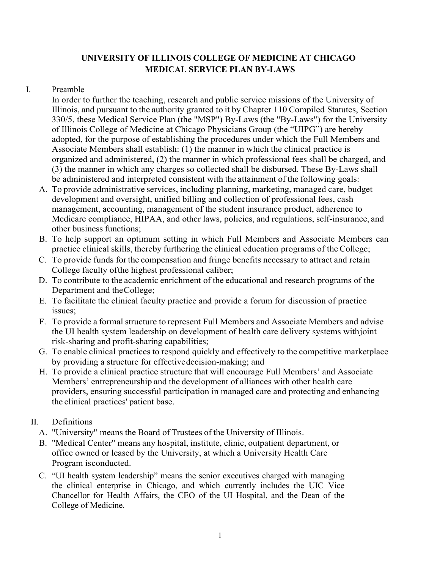## **UNIVERSITY OF ILLINOIS COLLEGE OF MEDICINE AT CHICAGO MEDICAL SERVICE PLAN BY-LAWS**

## I. Preamble

In order to further the teaching, research and public service missions of the University of Illinois, and pursuant to the authority granted to it by Chapter 110 Compiled Statutes, Section 330/5, these Medical Service Plan (the "MSP") By-Laws (the "By-Laws") for the University of Illinois College of Medicine at Chicago Physicians Group (the "UIPG") are hereby adopted, for the purpose of establishing the procedures under which the Full Members and Associate Members shall establish: (1) the manner in which the clinical practice is organized and administered, (2) the manner in which professional fees shall be charged, and (3) the manner in which any charges so collected shall be disbursed. These By-Laws shall be administered and interpreted consistent with the attainment of the following goals:

- A. To provide administrative services, including planning, marketing, managed care, budget development and oversight, unified billing and collection of professional fees, cash management, accounting, management of the student insurance product, adherence to Medicare compliance, HIPAA, and other laws, policies, and regulations, self-insurance, and other business functions;
- B. To help support an optimum setting in which Full Members and Associate Members can practice clinical skills, thereby furthering the clinical education programs of the College;
- C. To provide funds for the compensation and fringe benefits necessary to attract and retain College faculty ofthe highest professional caliber;
- D. To contribute to the academic enrichment of the educational and research programs of the Department and theCollege;
- E. To facilitate the clinical faculty practice and provide a forum for discussion of practice issues;
- F. To provide a formal structure to represent Full Members and Associate Members and advise the UI health system leadership on development of health care delivery systems withjoint risk-sharing and profit-sharing capabilities;
- G. To enable clinical practices to respond quickly and effectively to the competitive marketplace by providing a structure for effectivedecision-making; and
- H. To provide a clinical practice structure that will encourage Full Members' and Associate Members' entrepreneurship and the development of alliances with other health care providers, ensuring successful participation in managed care and protecting and enhancing the clinical practices' patient base.

## II. Definitions

- A. "University" means the Board of Trustees of the University of Illinois.
- B. "Medical Center" means any hospital, institute, clinic, outpatient department, or office owned or leased by the University, at which a University Health Care Program isconducted.
- C. "UI health system leadership" means the senior executives charged with managing the clinical enterprise in Chicago, and which currently includes the UIC Vice Chancellor for Health Affairs, the CEO of the UI Hospital, and the Dean of the College of Medicine.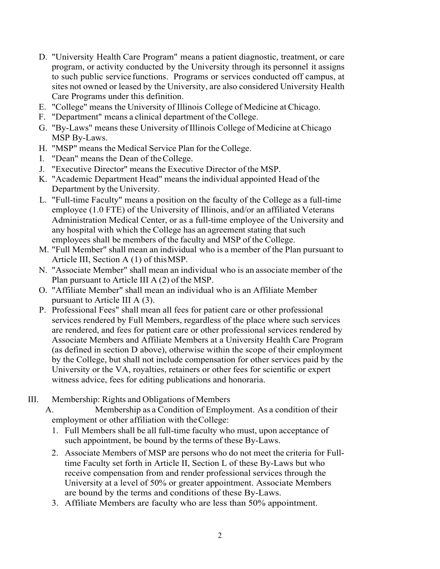- D. "University Health Care Program" means a patient diagnostic, treatment, or care program, or activity conducted by the University through its personnel it assigns to such public service functions. Programs or services conducted off campus, at sites not owned or leased by the University, are also considered University Health Care Programs under this definition.
- E. "College" means the University of Illinois College of Medicine at Chicago.
- F. "Department" means a clinical department of the College.
- G. "By-Laws" means these University of Illinois College of Medicine at Chicago MSP By-Laws.
- H. "MSP" means the Medical Service Plan for the College.
- I. "Dean" means the Dean of theCollege.
- J. "Executive Director" means the Executive Director of the MSP.
- K. "Academic Department Head" meansthe individual appointed Head of the Department by the University.
- L. "Full-time Faculty" means a position on the faculty of the College as a full-time employee (1.0 FTE) of the University of Illinois, and/or an affiliated Veterans Administration Medical Center, or as a full-time employee of the University and any hospital with which the College has an agreement stating that such employees shall be members of the faculty and MSP of the College.
- M. "Full Member" shall mean an individual who is a member of the Plan pursuant to Article III, Section A (1) of thisMSP.
- N. "Associate Member" shall mean an individual who is an associate member of the Plan pursuant to Article III A (2) of the MSP.
- O. "Affiliate Member" shall mean an individual who is an Affiliate Member pursuant to Article III A (3).
- P. Professional Fees" shall mean all fees for patient care or other professional services rendered by Full Members, regardless of the place where such services are rendered, and fees for patient care or other professional services rendered by Associate Members and Affiliate Members at a University Health Care Program (as defined in section D above), otherwise within the scope of their employment by the College, but shall not include compensation for other services paid by the University or the VA, royalties, retainers or other fees for scientific or expert witness advice, fees for editing publications and honoraria.
- III. Membership: Rights and Obligations of Members

A. Membership as a Condition of Employment. As a condition of their employment or other affiliation with theCollege:

- 1. Full Members shall be all full-time faculty who must, upon acceptance of such appointment, be bound by the terms of these By-Laws.
- 2. Associate Members of MSP are persons who do not meet the criteria for Fulltime Faculty set forth in Article II, Section L of these By-Laws but who receive compensation from and render professional services through the University at a level of 50% or greater appointment. Associate Members are bound by the terms and conditions of these By-Laws.
- 3. Affiliate Members are faculty who are less than 50% appointment.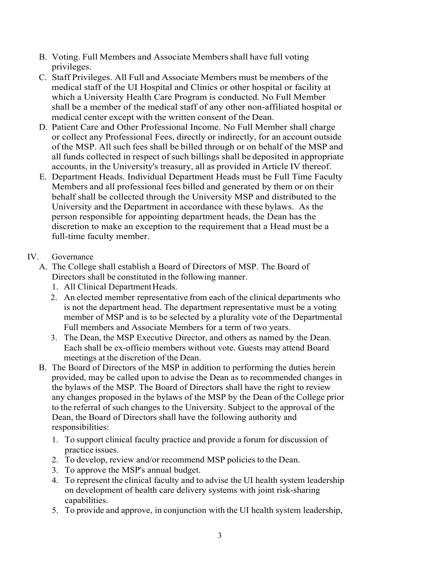- B. Voting. Full Members and Associate Membersshall have full voting privileges.
- C. Staff Privileges. All Full and Associate Members must be members of the medical staff of the UI Hospital and Clinics or other hospital or facility at which a University Health Care Program is conducted. No Full Member shall be a member of the medical staff of any other non-affiliated hospital or medical center except with the written consent of the Dean.
- D. Patient Care and Other Professional Income. No Full Member shall charge or collect any Professional Fees, directly or indirectly, for an account outside of the MSP. All such fees shall be billed through or on behalf of the MSP and all funds collected in respect of such billings shall be deposited in appropriate accounts, in the University's treasury, all as provided in Article IV thereof.
- E. Department Heads. Individual Department Heads must be Full Time Faculty Members and all professional fees billed and generated by them or on their behalf shall be collected through the University MSP and distributed to the University and the Department in accordance with these bylaws. As the person responsible for appointing department heads, the Dean has the discretion to make an exception to the requirement that a Head must be a full-time faculty member.

## IV. Governance

- A. The College shall establish a Board of Directors of MSP. The Board of Directors shall be constituted in the following manner.
	- 1. All Clinical Department Heads.
	- 2. An elected member representative from each of the clinical departments who is not the department head. The department representative must be a voting member of MSP and is to be selected by a plurality vote of the Departmental Full members and Associate Members for a term of two years.
	- 3. The Dean, the MSP Executive Director, and others as named by the Dean. Each shall be ex-officio members without vote. Guests may attend Board meetings at the discretion of the Dean.
- B. The Board of Directors of the MSP in addition to performing the duties herein provided, may be called upon to advise the Dean as to recommended changes in the bylaws of the MSP. The Board of Directors shall have the right to review any changes proposed in the bylaws of the MSP by the Dean of the College prior to the referral of such changes to the University. Subject to the approval of the Dean, the Board of Directors shall have the following authority and responsibilities:
	- 1. To support clinical faculty practice and provide a forum for discussion of practice issues.
	- 2. To develop, review and/or recommend MSP policies to the Dean.
	- 3. To approve the MSP's annual budget.
	- 4. To represent the clinical faculty and to advise the UI health system leadership on development of health care delivery systems with joint risk-sharing capabilities.
	- 5. To provide and approve, in conjunction with the UI health system leadership,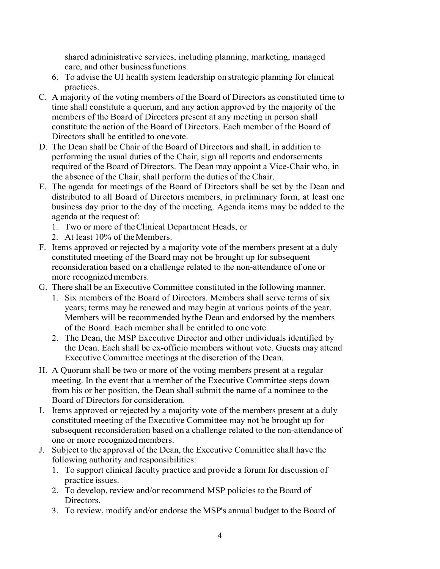shared administrative services, including planning, marketing, managed care, and other businessfunctions.

- 6. To advise the UI health system leadership on strategic planning for clinical practices.
- C. A majority of the voting members of the Board of Directors as constituted time to time shall constitute a quorum, and any action approved by the majority of the members of the Board of Directors present at any meeting in person shall constitute the action of the Board of Directors. Each member of the Board of Directors shall be entitled to onevote.
- D. The Dean shall be Chair of the Board of Directors and shall, in addition to performing the usual duties of the Chair, sign all reports and endorsements required of the Board of Directors. The Dean may appoint a Vice-Chair who, in the absence of the Chair, shall perform the duties of the Chair.
- E. The agenda for meetings of the Board of Directors shall be set by the Dean and distributed to all Board of Directors members, in preliminary form, at least one business day prior to the day of the meeting. Agenda items may be added to the agenda at the request of:
	- 1. Two or more of the Clinical Department Heads, or
	- 2. At least 10% of theMembers.
- F. Items approved or rejected by a majority vote of the members present at a duly constituted meeting of the Board may not be brought up for subsequent reconsideration based on a challenge related to the non-attendance of one or more recognizedmembers.
- G. There shall be an Executive Committee constituted in the following manner.
	- 1. Six members of the Board of Directors. Members shall serve terms of six years; terms may be renewed and may begin at various points of the year. Members will be recommended bythe Dean and endorsed by the members of the Board. Each member shall be entitled to one vote.
	- 2. The Dean, the MSP Executive Director and other individuals identified by the Dean. Each shall be ex-officio members without vote. Guests may attend Executive Committee meetings at the discretion of the Dean.
- H. A Quorum shall be two or more of the voting members present at a regular meeting. In the event that a member of the Executive Committee steps down from his or her position, the Dean shall submit the name of a nominee to the Board of Directors for consideration.
- I. Items approved or rejected by a majority vote of the members present at a duly constituted meeting of the Executive Committee may not be brought up for subsequent reconsideration based on a challenge related to the non-attendance of one or more recognizedmembers.
- J. Subject to the approval of the Dean, the Executive Committee shall have the following authority and responsibilities:
	- 1. To support clinical faculty practice and provide a forum for discussion of practice issues.
	- 2. To develop, review and/or recommend MSP policies to the Board of Directors.
	- 3. To review, modify and/or endorse the MSP's annual budget to the Board of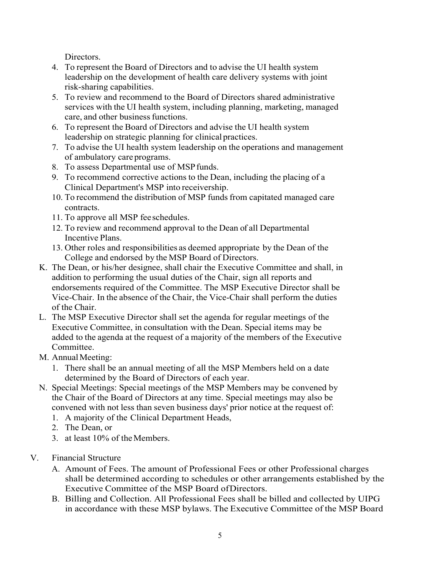Directors.

- 4. To represent the Board of Directors and to advise the UI health system leadership on the development of health care delivery systems with joint risk-sharing capabilities.
- 5. To review and recommend to the Board of Directors shared administrative services with the UI health system, including planning, marketing, managed care, and other business functions.
- 6. To represent the Board of Directors and advise the UI health system leadership on strategic planning for clinical practices.
- 7. To advise the UI health system leadership on the operations and management of ambulatory care programs.
- 8. To assess Departmental use of MSP funds.
- 9. To recommend corrective actions to the Dean, including the placing of a Clinical Department's MSP into receivership.
- 10. To recommend the distribution of MSP funds from capitated managed care contracts.
- 11. To approve all MSP feeschedules.
- 12. To review and recommend approval to the Dean of all Departmental Incentive Plans.
- 13. Other roles and responsibilities as deemed appropriate by the Dean of the College and endorsed by the MSP Board of Directors.
- K. The Dean, or his/her designee, shall chair the Executive Committee and shall, in addition to performing the usual duties of the Chair, sign all reports and endorsements required of the Committee. The MSP Executive Director shall be Vice-Chair. In the absence of the Chair, the Vice-Chair shall perform the duties of the Chair.
- L. The MSP Executive Director shall set the agenda for regular meetings of the Executive Committee, in consultation with the Dean. Special items may be added to the agenda at the request of a majority of the members of the Executive Committee.
- M. Annual Meeting:
	- 1. There shall be an annual meeting of all the MSP Members held on a date determined by the Board of Directors of each year.
- N. Special Meetings: Special meetings of the MSP Members may be convened by the Chair of the Board of Directors at any time. Special meetings may also be convened with not less than seven business days' prior notice at the request of:
	- 1. A majority of the Clinical Department Heads,
	- 2. The Dean, or
	- 3. at least 10% of theMembers.
- V. Financial Structure
	- A. Amount of Fees. The amount of Professional Fees or other Professional charges shall be determined according to schedules or other arrangements established by the Executive Committee of the MSP Board ofDirectors.
	- B. Billing and Collection. All Professional Fees shall be billed and collected by UIPG in accordance with these MSP bylaws. The Executive Committee of the MSP Board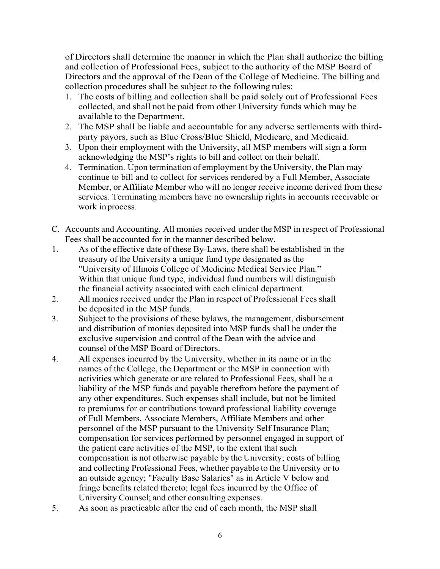of Directors shall determine the manner in which the Plan shall authorize the billing and collection of Professional Fees, subject to the authority of the MSP Board of Directors and the approval of the Dean of the College of Medicine. The billing and collection procedures shall be subject to the following rules:

- 1. The costs of billing and collection shall be paid solely out of Professional Fees collected, and shall not be paid from other University funds which may be available to the Department.
- 2. The MSP shall be liable and accountable for any adverse settlements with thirdparty payors, such as Blue Cross/Blue Shield, Medicare, and Medicaid.
- 3. Upon their employment with the University, all MSP members will sign a form acknowledging the MSP's rights to bill and collect on their behalf.
- 4. Termination. Upon termination of employment by the University, the Plan may continue to bill and to collect for services rendered by a Full Member, Associate Member, or Affiliate Member who will no longer receive income derived from these services. Terminating members have no ownership rights in accounts receivable or work inprocess.
- C. Accounts and Accounting. All monies received under the MSP in respect of Professional Fees shall be accounted for in the manner described below.
- 1. As of the effective date of these By-Laws, there shall be established in the treasury of the University a unique fund type designated as the "University of Illinois College of Medicine Medical Service Plan." Within that unique fund type, individual fund numbers will distinguish the financial activity associated with each clinical department.
- 2. All monies received under the Plan in respect of Professional Feesshall be deposited in the MSP funds.
- 3. Subject to the provisions of these bylaws, the management, disbursement and distribution of monies deposited into MSP funds shall be under the exclusive supervision and control of the Dean with the advice and counsel of the MSP Board of Directors.
- 4. All expenses incurred by the University, whether in its name or in the names of the College, the Department or the MSP in connection with activities which generate or are related to Professional Fees, shall be a liability of the MSP funds and payable therefrom before the payment of any other expenditures. Such expenses shall include, but not be limited to premiums for or contributions toward professional liability coverage of Full Members, Associate Members, Affiliate Members and other personnel of the MSP pursuant to the University Self Insurance Plan; compensation for services performed by personnel engaged in support of the patient care activities of the MSP, to the extent that such compensation is not otherwise payable by the University; costs of billing and collecting Professional Fees, whether payable to the University or to an outside agency; "Faculty Base Salaries" as in Article V below and fringe benefits related thereto; legal fees incurred by the Office of University Counsel; and other consulting expenses.
- 5. As soon as practicable after the end of each month, the MSP shall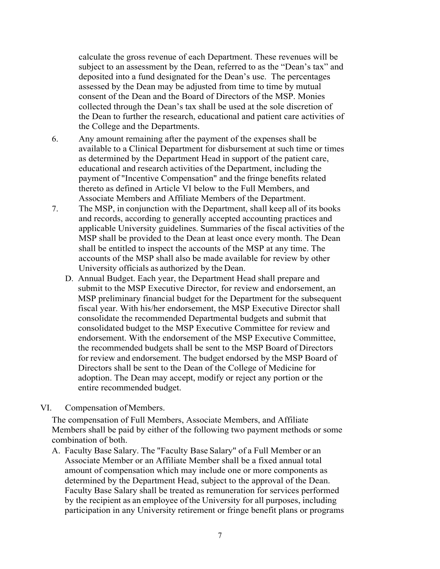calculate the gross revenue of each Department. These revenues will be subject to an assessment by the Dean, referred to as the "Dean's tax" and deposited into a fund designated for the Dean's use. The percentages assessed by the Dean may be adjusted from time to time by mutual consent of the Dean and the Board of Directors of the MSP. Monies collected through the Dean's tax shall be used at the sole discretion of the Dean to further the research, educational and patient care activities of the College and the Departments.

- 6. Any amount remaining after the payment of the expenses shall be available to a Clinical Department for disbursement at such time or times as determined by the Department Head in support of the patient care, educational and research activities of the Department, including the payment of "Incentive Compensation" and the fringe benefits related thereto as defined in Article VI below to the Full Members, and Associate Members and Affiliate Members of the Department.
- 7. The MSP, in conjunction with the Department, shall keep all of its books and records, according to generally accepted accounting practices and applicable University guidelines. Summaries of the fiscal activities of the MSP shall be provided to the Dean at least once every month. The Dean shall be entitled to inspect the accounts of the MSP at any time. The accounts of the MSP shall also be made available for review by other University officials as authorized by the Dean.
	- D. Annual Budget. Each year, the Department Head shall prepare and submit to the MSP Executive Director, for review and endorsement, an MSP preliminary financial budget for the Department for the subsequent fiscal year. With his/her endorsement, the MSP Executive Director shall consolidate the recommended Departmental budgets and submit that consolidated budget to the MSP Executive Committee for review and endorsement. With the endorsement of the MSP Executive Committee, the recommended budgets shall be sent to the MSP Board of Directors for review and endorsement. The budget endorsed by the MSP Board of Directors shall be sent to the Dean of the College of Medicine for adoption. The Dean may accept, modify or reject any portion or the entire recommended budget.
- VI. Compensation ofMembers.

The compensation of Full Members, Associate Members, and Affiliate Members shall be paid by either of the following two payment methods or some combination of both.

A. Faculty Base Salary. The "Faculty Base Salary" of a Full Member or an Associate Member or an Affiliate Member shall be a fixed annual total amount of compensation which may include one or more components as determined by the Department Head, subject to the approval of the Dean. Faculty Base Salary shall be treated as remuneration for services performed by the recipient as an employee of the University for all purposes, including participation in any University retirement or fringe benefit plans or programs